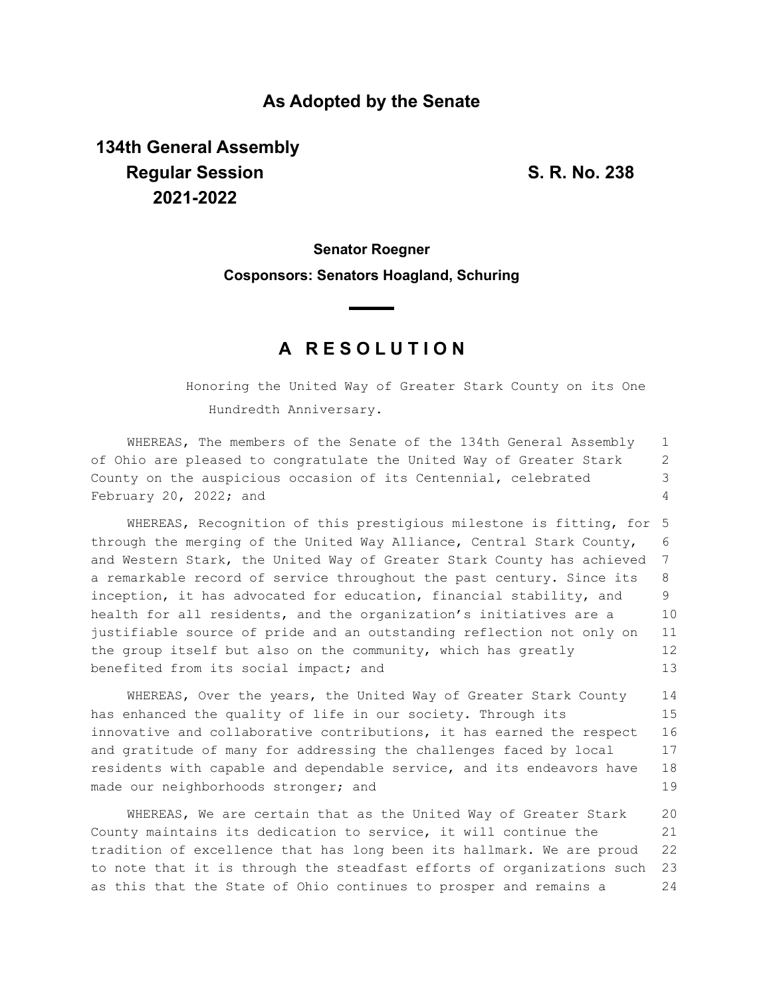### **As Adopted by the Senate**

# **134th General Assembly Regular Session S. R. No. 238 2021-2022**

# **Senator Roegner Cosponsors: Senators Hoagland, Schuring**

## **A R E S O L U T I O N**

Honoring the United Way of Greater Stark County on its One Hundredth Anniversary.

WHEREAS, The members of the Senate of the 134th General Assembly of Ohio are pleased to congratulate the United Way of Greater Stark County on the auspicious occasion of its Centennial, celebrated February 20, 2022; and 1 2 3 4

WHEREAS, Recognition of this prestigious milestone is fitting, for 5 through the merging of the United Way Alliance, Central Stark County, and Western Stark, the United Way of Greater Stark County has achieved a remarkable record of service throughout the past century. Since its inception, it has advocated for education, financial stability, and health for all residents, and the organization's initiatives are a justifiable source of pride and an outstanding reflection not only on the group itself but also on the community, which has greatly benefited from its social impact; and 6 7 8  $\mathsf{Q}$ 10 11 12 13

WHEREAS, Over the years, the United Way of Greater Stark County has enhanced the quality of life in our society. Through its innovative and collaborative contributions, it has earned the respect and gratitude of many for addressing the challenges faced by local residents with capable and dependable service, and its endeavors have made our neighborhoods stronger; and 14 15 16 17 18 19

WHEREAS, We are certain that as the United Way of Greater Stark County maintains its dedication to service, it will continue the tradition of excellence that has long been its hallmark. We are proud to note that it is through the steadfast efforts of organizations such as this that the State of Ohio continues to prosper and remains a 20 21 22 23 24